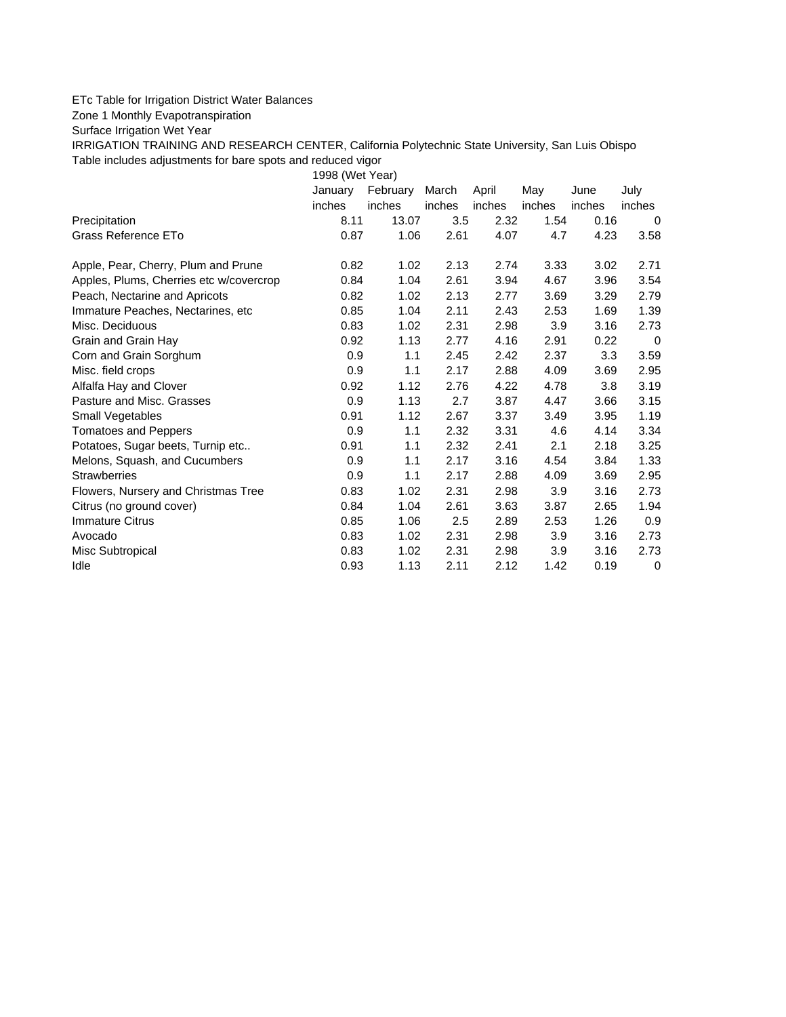## ETc Table for Irrigation District Water Balances

## Zone 1 Monthly Evapotranspiration

Surface Irrigation Wet Year

IRRIGATION TRAINING AND RESEARCH CENTER, California Polytechnic State University, San Luis Obispo Table includes adjustments for bare spots and reduced vigor

1998 (Wet Year)

|                                         | January | February | March  | April  | May    | June   | July   |
|-----------------------------------------|---------|----------|--------|--------|--------|--------|--------|
|                                         | inches  | inches   | inches | inches | inches | inches | inches |
| Precipitation                           | 8.11    | 13.07    | 3.5    | 2.32   | 1.54   | 0.16   | 0      |
| Grass Reference ETo                     | 0.87    | 1.06     | 2.61   | 4.07   | 4.7    | 4.23   | 3.58   |
| Apple, Pear, Cherry, Plum and Prune     | 0.82    | 1.02     | 2.13   | 2.74   | 3.33   | 3.02   | 2.71   |
| Apples, Plums, Cherries etc w/covercrop | 0.84    | 1.04     | 2.61   | 3.94   | 4.67   | 3.96   | 3.54   |
| Peach, Nectarine and Apricots           | 0.82    | 1.02     | 2.13   | 2.77   | 3.69   | 3.29   | 2.79   |
| Immature Peaches, Nectarines, etc       | 0.85    | 1.04     | 2.11   | 2.43   | 2.53   | 1.69   | 1.39   |
| Misc. Deciduous                         | 0.83    | 1.02     | 2.31   | 2.98   | 3.9    | 3.16   | 2.73   |
| Grain and Grain Hay                     | 0.92    | 1.13     | 2.77   | 4.16   | 2.91   | 0.22   | 0      |
| Corn and Grain Sorghum                  | 0.9     | 1.1      | 2.45   | 2.42   | 2.37   | 3.3    | 3.59   |
| Misc. field crops                       | 0.9     | 1.1      | 2.17   | 2.88   | 4.09   | 3.69   | 2.95   |
| Alfalfa Hay and Clover                  | 0.92    | 1.12     | 2.76   | 4.22   | 4.78   | 3.8    | 3.19   |
| Pasture and Misc. Grasses               | 0.9     | 1.13     | 2.7    | 3.87   | 4.47   | 3.66   | 3.15   |
| Small Vegetables                        | 0.91    | 1.12     | 2.67   | 3.37   | 3.49   | 3.95   | 1.19   |
| <b>Tomatoes and Peppers</b>             | 0.9     | 1.1      | 2.32   | 3.31   | 4.6    | 4.14   | 3.34   |
| Potatoes, Sugar beets, Turnip etc       | 0.91    | 1.1      | 2.32   | 2.41   | 2.1    | 2.18   | 3.25   |
| Melons, Squash, and Cucumbers           | 0.9     | 1.1      | 2.17   | 3.16   | 4.54   | 3.84   | 1.33   |
| <b>Strawberries</b>                     | 0.9     | 1.1      | 2.17   | 2.88   | 4.09   | 3.69   | 2.95   |
| Flowers, Nursery and Christmas Tree     | 0.83    | 1.02     | 2.31   | 2.98   | 3.9    | 3.16   | 2.73   |
| Citrus (no ground cover)                | 0.84    | 1.04     | 2.61   | 3.63   | 3.87   | 2.65   | 1.94   |
| <b>Immature Citrus</b>                  | 0.85    | 1.06     | 2.5    | 2.89   | 2.53   | 1.26   | 0.9    |
| Avocado                                 | 0.83    | 1.02     | 2.31   | 2.98   | 3.9    | 3.16   | 2.73   |
| Misc Subtropical                        | 0.83    | 1.02     | 2.31   | 2.98   | 3.9    | 3.16   | 2.73   |
| Idle                                    | 0.93    | 1.13     | 2.11   | 2.12   | 1.42   | 0.19   | 0      |